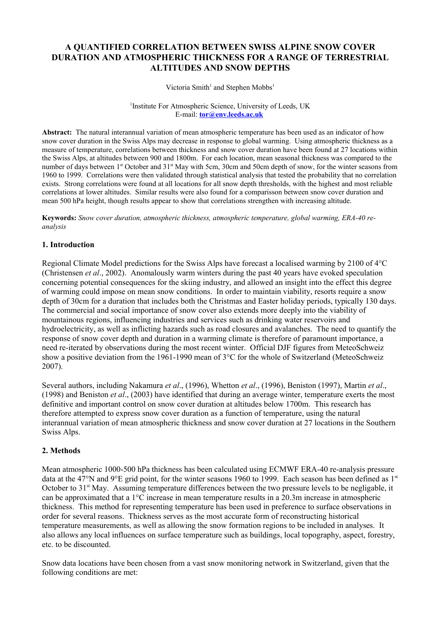# **A QUANTIFIED CORRELATION BETWEEN SWISS ALPINE SNOW COVER DURATION AND ATMOSPHERIC THICKNESS FOR A RANGE OF TERRESTRIAL ALTITUDES AND SNOW DEPTHS**

Victoria Smith<sup>1</sup> and Stephen Mobbs<sup>1</sup>

<sup>1</sup>Institute For Atmospheric Science, University of Leeds, UK E-mail: **[tor@env.leeds.ac.uk](mailto:tor@env.leeds.ac.uk)**

**Abstract:** The natural interannual variation of mean atmospheric temperature has been used as an indicator of how snow cover duration in the Swiss Alps may decrease in response to global warming. Using atmospheric thickness as a measure of temperature, correlations between thickness and snow cover duration have been found at 27 locations within the Swiss Alps, at altitudes between 900 and 1800m. For each location, mean seasonal thickness was compared to the number of days between 1<sup>st</sup> October and 31<sup>st</sup> May with 5cm, 30cm and 50cm depth of snow, for the winter seasons from 1960 to 1999. Correlations were then validated through statistical analysis that tested the probability that no correlation exists. Strong correlations were found at all locations for all snow depth thresholds, with the highest and most reliable correlations at lower altitudes. Similar results were also found for a comparisson between snow cover duration and mean 500 hPa height, though results appear to show that correlations strengthen with increasing altitude.

**Keywords:** *Snow cover duration, atmospheric thickness, atmospheric temperature, global warming, ERA-40 reanalysis*

### **1. Introduction**

Regional Climate Model predictions for the Swiss Alps have forecast a localised warming by 2100 of 4°C (Christensen *et al*., 2002). Anomalously warm winters during the past 40 years have evoked speculation concerning potential consequences for the skiing industry, and allowed an insight into the effect this degree of warming could impose on mean snow conditions. In order to maintain viability, resorts require a snow depth of 30cm for a duration that includes both the Christmas and Easter holiday periods, typically 130 days. The commercial and social importance of snow cover also extends more deeply into the viability of mountainous regions, influencing industries and services such as drinking water reservoirs and hydroelectricity, as well as inflicting hazards such as road closures and avalanches. The need to quantify the response of snow cover depth and duration in a warming climate is therefore of paramount importance, a need re-iterated by observations during the most recent winter. Official DJF figures from MeteoSchweiz show a positive deviation from the 1961-1990 mean of 3°C for the whole of Switzerland (MeteoSchweiz 2007).

Several authors, including Nakamura *et al*., (1996), Whetton *et al*., (1996), Beniston (1997), Martin *et al*., (1998) and Beniston *et al*., (2003) have identified that during an average winter, temperature exerts the most definitive and important control on snow cover duration at altitudes below 1700m. This research has therefore attempted to express snow cover duration as a function of temperature, using the natural interannual variation of mean atmospheric thickness and snow cover duration at 27 locations in the Southern Swiss Alps.

#### **2. Methods**

Mean atmospheric 1000-500 hPa thickness has been calculated using ECMWF ERA-40 re-analysis pressure data at the 47°N and 9°E grid point, for the winter seasons 1960 to 1999. Each season has been defined as  $1<sup>st</sup>$ October to  $31<sup>st</sup>$  May. Assuming temperature differences between the two pressure levels to be negligable, it can be approximated that a 1°C increase in mean temperature results in a 20.3m increase in atmospheric thickness. This method for representing temperature has been used in preference to surface observations in order for several reasons. Thickness serves as the most accurate form of reconstructing historical temperature measurements, as well as allowing the snow formation regions to be included in analyses. It also allows any local influences on surface temperature such as buildings, local topography, aspect, forestry, etc. to be discounted.

Snow data locations have been chosen from a vast snow monitoring network in Switzerland, given that the following conditions are met: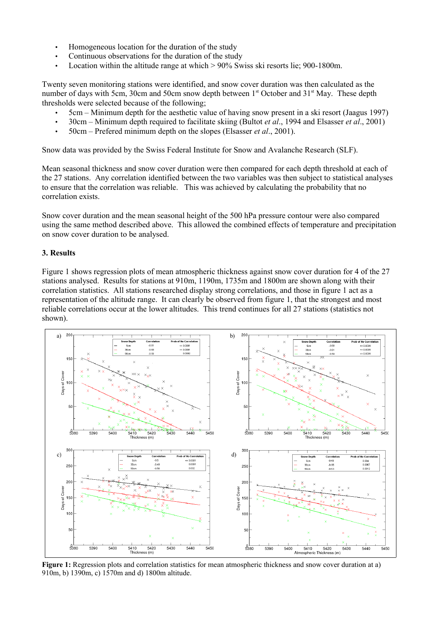- Homogeneous location for the duration of the study
- Continuous observations for the duration of the study
- Location within the altitude range at which  $> 90\%$  Swiss ski resorts lie; 900-1800m.

Twenty seven monitoring stations were identified, and snow cover duration was then calculated as the number of days with 5cm, 30cm and 50cm snow depth between 1<sup>st</sup> October and 31<sup>st</sup> May. These depth thresholds were selected because of the following;

- 5cm Minimum depth for the aesthetic value of having snow present in a ski resort (Jaagus 1997)
- 30cm Minimum depth required to facilitate skiing (Bultot *et al*., 1994 and Elsasser *et al*., 2001)
- 50cm Prefered minimum depth on the slopes (Elsasser *et al*., 2001).

Snow data was provided by the Swiss Federal Institute for Snow and Avalanche Research (SLF).

Mean seasonal thickness and snow cover duration were then compared for each depth threshold at each of the 27 stations. Any correlation identified between the two variables was then subject to statistical analyses to ensure that the correlation was reliable. This was achieved by calculating the probability that no correlation exists.

Snow cover duration and the mean seasonal height of the 500 hPa pressure contour were also compared using the same method described above. This allowed the combined effects of temperature and precipitation on snow cover duration to be analysed.

#### **3. Results**

Figure 1 shows regression plots of mean atmospheric thickness against snow cover duration for 4 of the 27 stations analysed. Results for stations at 910m, 1190m, 1735m and 1800m are shown along with their correlation statistics. All stations researched display strong correlations, and those in figure 1 act as a representation of the altitude range. It can clearly be observed from figure 1, that the strongest and most reliable correlations occur at the lower altitudes. This trend continues for all 27 stations (statistics not shown).



**Figure 1:** Regression plots and correlation statistics for mean atmospheric thickness and snow cover duration at a) 910m, b) 1390m, c) 1570m and d) 1800m altitude.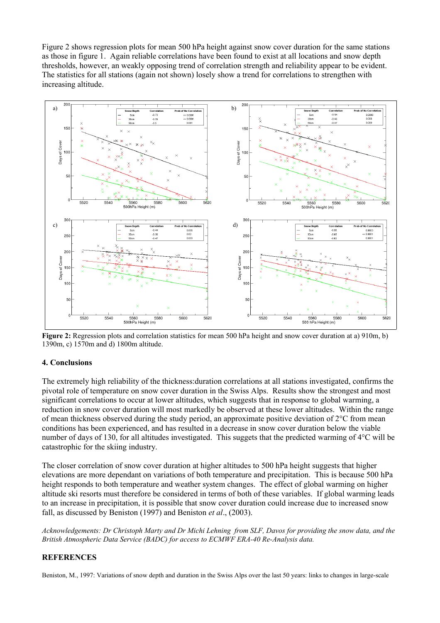Figure 2 shows regression plots for mean 500 hPa height against snow cover duration for the same stations as those in figure 1. Again reliable correlations have been found to exist at all locations and snow depth thresholds, however, an weakly opposing trend of correlation strength and reliability appear to be evident. The statistics for all stations (again not shown) losely show a trend for correlations to strengthen with increasing altitude.



**Figure 2:** Regression plots and correlation statistics for mean 500 hPa height and snow cover duration at a) 910m, b) 1390m, c) 1570m and d) 1800m altitude.

## **4. Conclusions**

The extremely high reliability of the thickness:duration correlations at all stations investigated, confirms the pivotal role of temperature on snow cover duration in the Swiss Alps. Results show the strongest and most significant correlations to occur at lower altitudes, which suggests that in response to global warming, a reduction in snow cover duration will most markedly be observed at these lower altitudes. Within the range of mean thickness observed during the study period, an approximate positive deviation of  $2^{\circ}$ C from mean conditions has been experienced, and has resulted in a decrease in snow cover duration below the viable number of days of 130, for all altitudes investigated. This suggets that the predicted warming of 4°C will be catastrophic for the skiing industry.

The closer correlation of snow cover duration at higher altitudes to 500 hPa height suggests that higher elevations are more dependant on variations of both temperature and precipitation. This is because 500 hPa height responds to both temperature and weather system changes. The effect of global warming on higher altitude ski resorts must therefore be considered in terms of both of these variables. If global warming leads to an increase in precipitation, it is possible that snow cover duration could increase due to increased snow fall, as discussed by Beniston (1997) and Beniston *et al*., (2003).

*Acknowledgements: Dr Christoph Marty and Dr Michi Lehning from SLF, Davos for providing the snow data, and the British Atmospheric Data Service (BADC) for access to ECMWF ERA-40 Re-Analysis data.*

#### **REFERENCES**

Beniston, M., 1997: Variations of snow depth and duration in the Swiss Alps over the last 50 years: links to changes in large-scale